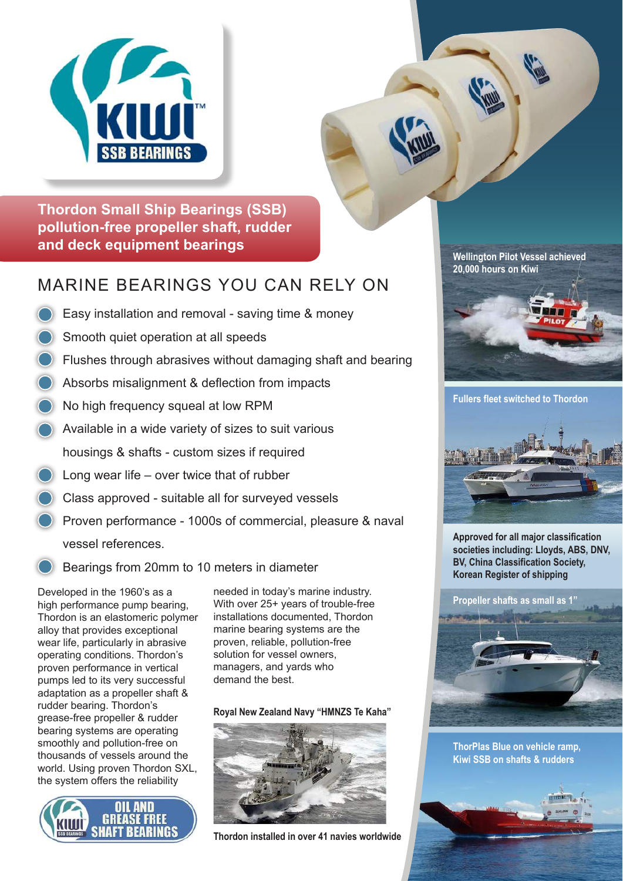

**Thordon Small Ship Bearings (SSB) pollution-free propeller shaft, rudder and deck equipment bearings**

# MARINE BEARINGS YOU CAN RELY ON

- Easy installation and removal saving time & money
- Smooth quiet operation at all speeds
- Flushes through abrasives without damaging shaft and bearing
- Absorbs misalignment & deflection from impacts
- No high frequency squeal at low RPM
- Available in a wide variety of sizes to suit various housings & shafts - custom sizes if required
- Long wear life over twice that of rubber
- Class approved suitable all for surveyed vessels
- Proven performance 1000s of commercial, pleasure & naval vessel references.
- Bearings from 20mm to 10 meters in diameter

Developed in the 1960's as a high performance pump bearing, Thordon is an elastomeric polymer alloy that provides exceptional wear life, particularly in abrasive operating conditions. Thordon's proven performance in vertical pumps led to its very successful adaptation as a propeller shaft & rudder bearing. Thordon's grease-free propeller & rudder bearing systems are operating smoothly and pollution-free on thousands of vessels around the world. Using proven Thordon SXL, the system offers the reliability



needed in today's marine industry. With over 25+ years of trouble-free installations documented, Thordon marine bearing systems are the proven, reliable, pollution-free solution for vessel owners, managers, and yards who demand the best.

#### **Royal New Zealand Navy "HMNZS Te Kaha"**



**Thordon installed in over 41 navies worldwide**

**Wellington Pilot Vessel achieved 20,000 hours on Kiwi**



**Fullers fleet switched to Thordon**



**Approved for all major classification societies including: Lloyds, ABS, DNV, BV, China Classification Society, Korean Register of shipping**



**Kiwi SSB on shafts & rudders ThorPlas Blue on vehicle ramp,**